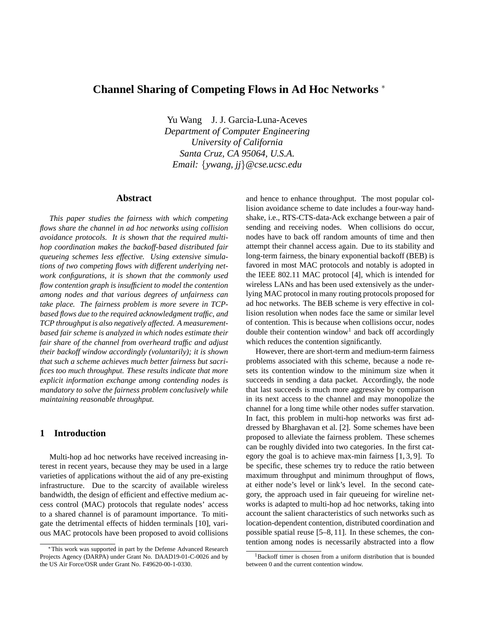# **Channel Sharing of Competing Flows in Ad Hoc Networks** <sup>∗</sup>

Yu Wang J. J. Garcia-Luna-Aceves *Department of Computer Engineering University of California Santa Cruz, CA 95064, U.S.A. Email:* {*ywang, jj*}*@cse.ucsc.edu*

## **Abstract**

*This paper studies the fairness with which competing flows share the channel in ad hoc networks using collision avoidance protocols. It is shown that the required multihop coordination makes the backoff-based distributed fair queueing schemes less effective. Using extensive simulations of two competing flows with different underlying network configurations, it is shown that the commonly used flow contention graph is insufficient to model the contention among nodes and that various degrees of unfairness can take place. The fairness problem is more severe in TCPbased flows due to the required acknowledgment traffic, and TCP throughput is also negatively affected. A measurementbased fair scheme is analyzed in which nodes estimate their fair share of the channel from overheard traffic and adjust their backoff window accordingly (voluntarily); it is shown that such a scheme achieves much better fairness but sacrifices too much throughput. These results indicate that more explicit information exchange among contending nodes is mandatory to solve the fairness problem conclusively while maintaining reasonable throughput.*

## **1 Introduction**

Multi-hop ad hoc networks have received increasing interest in recent years, because they may be used in a large varieties of applications without the aid of any pre-existing infrastructure. Due to the scarcity of available wireless bandwidth, the design of efficient and effective medium access control (MAC) protocols that regulate nodes' access to a shared channel is of paramount importance. To mitigate the detrimental effects of hidden terminals [10], various MAC protocols have been proposed to avoid collisions and hence to enhance throughput. The most popular collision avoidance scheme to date includes a four-way handshake, i.e., RTS-CTS-data-Ack exchange between a pair of sending and receiving nodes. When collisions do occur, nodes have to back off random amounts of time and then attempt their channel access again. Due to its stability and long-term fairness, the binary exponential backoff (BEB) is favored in most MAC protocols and notably is adopted in the IEEE 802.11 MAC protocol [4], which is intended for wireless LANs and has been used extensively as the underlying MAC protocol in many routing protocols proposed for ad hoc networks. The BEB scheme is very effective in collision resolution when nodes face the same or similar level of contention. This is because when collisions occur, nodes double their contention window<sup>1</sup> and back off accordingly which reduces the contention significantly.

However, there are short-term and medium-term fairness problems associated with this scheme, because a node resets its contention window to the minimum size when it succeeds in sending a data packet. Accordingly, the node that last succeeds is much more aggressive by comparison in its next access to the channel and may monopolize the channel for a long time while other nodes suffer starvation. In fact, this problem in multi-hop networks was first addressed by Bharghavan et al. [2]. Some schemes have been proposed to alleviate the fairness problem. These schemes can be roughly divided into two categories. In the first category the goal is to achieve max-min fairness [1, 3, 9]. To be specific, these schemes try to reduce the ratio between maximum throughput and minimum throughput of flows, at either node's level or link's level. In the second category, the approach used in fair queueing for wireline networks is adapted to multi-hop ad hoc networks, taking into account the salient characteristics of such networks such as location-dependent contention, distributed coordination and possible spatial reuse [5–8, 11]. In these schemes, the contention among nodes is necessarily abstracted into a flow

<sup>∗</sup>This work was supported in part by the Defense Advanced Research Projects Agency (DARPA) under Grant No. DAAD19-01-C-0026 and by the US Air Force/OSR under Grant No. F49620-00-1-0330.

<sup>&</sup>lt;sup>1</sup>Backoff timer is chosen from a uniform distribution that is bounded between 0 and the current contention window.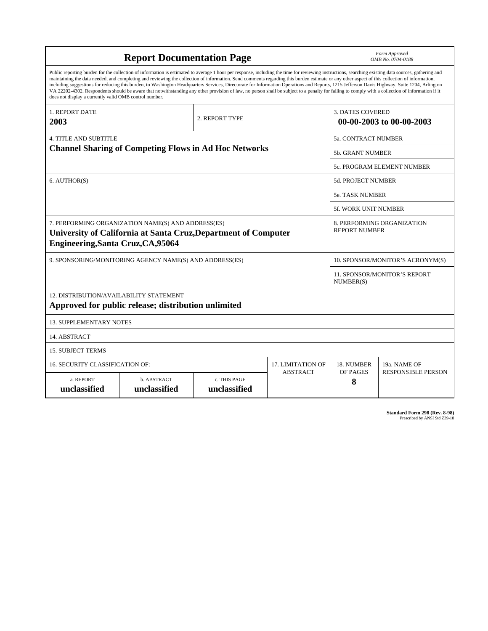|                                                                                                                                                                                                                                                                                                                                                                                                                                                                                                                                                                                                                                                                                                                                                                                                                                                                    | <b>Report Documentation Page</b>                                                                                                                                                                                 | Form Approved<br>OMB No. 0704-0188               |               |                                                     |  |  |  |
|--------------------------------------------------------------------------------------------------------------------------------------------------------------------------------------------------------------------------------------------------------------------------------------------------------------------------------------------------------------------------------------------------------------------------------------------------------------------------------------------------------------------------------------------------------------------------------------------------------------------------------------------------------------------------------------------------------------------------------------------------------------------------------------------------------------------------------------------------------------------|------------------------------------------------------------------------------------------------------------------------------------------------------------------------------------------------------------------|--------------------------------------------------|---------------|-----------------------------------------------------|--|--|--|
| Public reporting burden for the collection of information is estimated to average 1 hour per response, including the time for reviewing instructions, searching existing data sources, gathering and<br>maintaining the data needed, and completing and reviewing the collection of information. Send comments regarding this burden estimate or any other aspect of this collection of information,<br>including suggestions for reducing this burden, to Washington Headquarters Services, Directorate for Information Operations and Reports, 1215 Jefferson Davis Highway, Suite 1204, Arlington<br>VA 22202-4302. Respondents should be aware that notwithstanding any other provision of law, no person shall be subject to a penalty for failing to comply with a collection of information if it<br>does not display a currently valid OMB control number. |                                                                                                                                                                                                                  |                                                  |               |                                                     |  |  |  |
| 1. REPORT DATE<br>2003                                                                                                                                                                                                                                                                                                                                                                                                                                                                                                                                                                                                                                                                                                                                                                                                                                             | 2. REPORT TYPE                                                                                                                                                                                                   |                                                  |               | <b>3. DATES COVERED</b><br>00-00-2003 to 00-00-2003 |  |  |  |
| <b>4. TITLE AND SUBTITLE</b>                                                                                                                                                                                                                                                                                                                                                                                                                                                                                                                                                                                                                                                                                                                                                                                                                                       |                                                                                                                                                                                                                  |                                                  |               | 5a. CONTRACT NUMBER                                 |  |  |  |
|                                                                                                                                                                                                                                                                                                                                                                                                                                                                                                                                                                                                                                                                                                                                                                                                                                                                    | <b>Channel Sharing of Competing Flows in Ad Hoc Networks</b>                                                                                                                                                     |                                                  |               | <b>5b. GRANT NUMBER</b>                             |  |  |  |
|                                                                                                                                                                                                                                                                                                                                                                                                                                                                                                                                                                                                                                                                                                                                                                                                                                                                    |                                                                                                                                                                                                                  |                                                  |               | 5c. PROGRAM ELEMENT NUMBER                          |  |  |  |
| 6. AUTHOR(S)                                                                                                                                                                                                                                                                                                                                                                                                                                                                                                                                                                                                                                                                                                                                                                                                                                                       |                                                                                                                                                                                                                  |                                                  |               | <b>5d. PROJECT NUMBER</b>                           |  |  |  |
|                                                                                                                                                                                                                                                                                                                                                                                                                                                                                                                                                                                                                                                                                                                                                                                                                                                                    |                                                                                                                                                                                                                  |                                                  |               | <b>5e. TASK NUMBER</b>                              |  |  |  |
|                                                                                                                                                                                                                                                                                                                                                                                                                                                                                                                                                                                                                                                                                                                                                                                                                                                                    |                                                                                                                                                                                                                  |                                                  |               | <b>5f. WORK UNIT NUMBER</b>                         |  |  |  |
|                                                                                                                                                                                                                                                                                                                                                                                                                                                                                                                                                                                                                                                                                                                                                                                                                                                                    | 7. PERFORMING ORGANIZATION NAME(S) AND ADDRESS(ES)<br>8. PERFORMING ORGANIZATION<br><b>REPORT NUMBER</b><br>University of California at Santa Cruz, Department of Computer<br>Engineering, Santa Cruz, CA, 95064 |                                                  |               |                                                     |  |  |  |
| 9. SPONSORING/MONITORING AGENCY NAME(S) AND ADDRESS(ES)<br>10. SPONSOR/MONITOR'S ACRONYM(S)                                                                                                                                                                                                                                                                                                                                                                                                                                                                                                                                                                                                                                                                                                                                                                        |                                                                                                                                                                                                                  |                                                  |               |                                                     |  |  |  |
|                                                                                                                                                                                                                                                                                                                                                                                                                                                                                                                                                                                                                                                                                                                                                                                                                                                                    |                                                                                                                                                                                                                  | <b>11. SPONSOR/MONITOR'S REPORT</b><br>NUMBER(S) |               |                                                     |  |  |  |
| <b>12. DISTRIBUTION/AVAILABILITY STATEMENT</b><br>Approved for public release; distribution unlimited                                                                                                                                                                                                                                                                                                                                                                                                                                                                                                                                                                                                                                                                                                                                                              |                                                                                                                                                                                                                  |                                                  |               |                                                     |  |  |  |
| <b>13. SUPPLEMENTARY NOTES</b>                                                                                                                                                                                                                                                                                                                                                                                                                                                                                                                                                                                                                                                                                                                                                                                                                                     |                                                                                                                                                                                                                  |                                                  |               |                                                     |  |  |  |
| 14. ABSTRACT                                                                                                                                                                                                                                                                                                                                                                                                                                                                                                                                                                                                                                                                                                                                                                                                                                                       |                                                                                                                                                                                                                  |                                                  |               |                                                     |  |  |  |
| <b>15. SUBJECT TERMS</b>                                                                                                                                                                                                                                                                                                                                                                                                                                                                                                                                                                                                                                                                                                                                                                                                                                           |                                                                                                                                                                                                                  |                                                  |               |                                                     |  |  |  |
| 16. SECURITY CLASSIFICATION OF:                                                                                                                                                                                                                                                                                                                                                                                                                                                                                                                                                                                                                                                                                                                                                                                                                                    |                                                                                                                                                                                                                  | 17. LIMITATION OF                                | 18. NUMBER    | 19a. NAME OF                                        |  |  |  |
| a. REPORT<br>unclassified                                                                                                                                                                                                                                                                                                                                                                                                                                                                                                                                                                                                                                                                                                                                                                                                                                          | b. ABSTRACT<br>unclassified                                                                                                                                                                                      | <b>ABSTRACT</b>                                  | OF PAGES<br>8 | <b>RESPONSIBLE PERSON</b>                           |  |  |  |

**Standard Form 298 (Rev. 8-98)**<br>Prescribed by ANSI Std Z39-18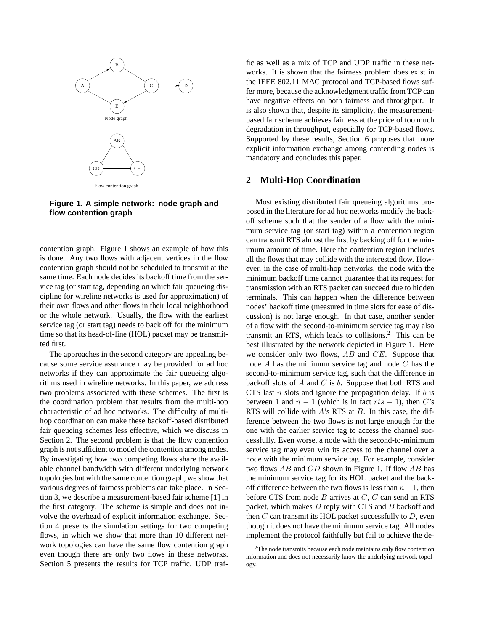

**Figure 1. A simple network: node graph and flow contention graph**

contention graph. Figure 1 shows an example of how this is done. Any two flows with adjacent vertices in the flow contention graph should not be scheduled to transmit at the same time. Each node decides its backoff time from the service tag (or start tag, depending on which fair queueing discipline for wireline networks is used for approximation) of their own flows and other flows in their local neighborhood or the whole network. Usually, the flow with the earliest service tag (or start tag) needs to back off for the minimum time so that its head-of-line (HOL) packet may be transmitted first.

The approaches in the second category are appealing because some service assurance may be provided for ad hoc networks if they can approximate the fair queueing algorithms used in wireline networks. In this paper, we address two problems associated with these schemes. The first is the coordination problem that results from the multi-hop characteristic of ad hoc networks. The difficulty of multihop coordination can make these backoff-based distributed fair queueing schemes less effective, which we discuss in Section 2. The second problem is that the flow contention graph is not sufficient to model the contention among nodes. By investigating how two competing flows share the available channel bandwidth with different underlying network topologies but with the same contention graph, we show that various degrees of fairness problems can take place. In Section 3, we describe a measurement-based fair scheme [1] in the first category. The scheme is simple and does not involve the overhead of explicit information exchange. Section 4 presents the simulation settings for two competing flows, in which we show that more than 10 different network topologies can have the same flow contention graph even though there are only two flows in these networks. Section 5 presents the results for TCP traffic, UDP traffic as well as a mix of TCP and UDP traffic in these networks. It is shown that the fairness problem does exist in the IEEE 802.11 MAC protocol and TCP-based flows suffer more, because the acknowledgment traffic from TCP can have negative effects on both fairness and throughput. It is also shown that, despite its simplicity, the measurementbased fair scheme achieves fairness at the price of too much degradation in throughput, especially for TCP-based flows. Supported by these results, Section 6 proposes that more explicit information exchange among contending nodes is mandatory and concludes this paper.

### **2 Multi-Hop Coordination**

Most existing distributed fair queueing algorithms proposed in the literature for ad hoc networks modify the backoff scheme such that the sender of a flow with the minimum service tag (or start tag) within a contention region can transmit RTS almost the first by backing off for the minimum amount of time. Here the contention region includes all the flows that may collide with the interested flow. However, in the case of multi-hop networks, the node with the minimum backoff time cannot guarantee that its request for transmission with an RTS packet can succeed due to hidden terminals. This can happen when the difference between nodes' backoff time (measured in time slots for ease of discussion) is not large enough. In that case, another sender of a flow with the second-to-minimum service tag may also transmit an RTS, which leads to collisions.<sup>2</sup> This can be best illustrated by the network depicted in Figure 1. Here we consider only two flows,  $AB$  and  $CE$ . Suppose that node A has the minimum service tag and node C has the second-to-minimum service tag, such that the difference in backoff slots of A and C is b. Suppose that both RTS and CTS last  $n$  slots and ignore the propagation delay. If  $b$  is between 1 and  $n - 1$  (which is in fact  $rts - 1$ ), then C's RTS will collide with  $A$ 's RTS at  $B$ . In this case, the difference between the two flows is not large enough for the one with the earlier service tag to access the channel successfully. Even worse, a node with the second-to-minimum service tag may even win its access to the channel over a node with the minimum service tag. For example, consider two flows  $AB$  and  $CD$  shown in Figure 1. If flow  $AB$  has the minimum service tag for its HOL packet and the backoff difference between the two flows is less than  $n-1$ , then before CTS from node  $B$  arrives at  $C$ ,  $C$  can send an RTS packet, which makes  $D$  reply with CTS and  $B$  backoff and then  $C$  can transmit its HOL packet successfully to  $D$ , even though it does not have the minimum service tag. All nodes implement the protocol faithfully but fail to achieve the de-

<sup>2</sup>The node transmits because each node maintains only flow contention information and does not necessarily know the underlying network topology.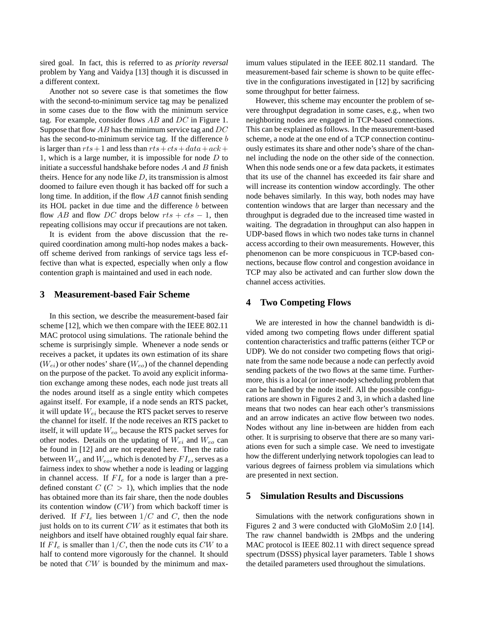sired goal. In fact, this is referred to as *priority reversal* problem by Yang and Vaidya [13] though it is discussed in a different context.

Another not so severe case is that sometimes the flow with the second-to-minimum service tag may be penalized in some cases due to the flow with the minimum service tag. For example, consider flows  $AB$  and  $DC$  in Figure 1. Suppose that flow  $AB$  has the minimum service tag and  $DC$ has the second-to-minimum service tag. If the difference *b* is larger than  $rts + 1$  and less than  $rts + cts + data + ack + \dots$ 1, which is a large number, it is impossible for node  $D$  to initiate a successful handshake before nodes  $A$  and  $B$  finish theirs. Hence for any node like  $D$ , its transmission is almost doomed to failure even though it has backed off for such a long time. In addition, if the flow  $AB$  cannot finish sending its HOL packet in due time and the difference  $b$  between flow AB and flow DC drops below  $rts + cts - 1$ , then repeating collisions may occur if precautions are not taken.

It is evident from the above discussion that the required coordination among multi-hop nodes makes a backoff scheme derived from rankings of service tags less effective than what is expected, especially when only a flow contention graph is maintained and used in each node.

#### **3 Measurement-based Fair Scheme**

In this section, we describe the measurement-based fair scheme [12], which we then compare with the IEEE 802.11 MAC protocol using simulations. The rationale behind the scheme is surprisingly simple. Whenever a node sends or receives a packet, it updates its own estimation of its share  $(W_{ei})$  or other nodes' share  $(W_{eo})$  of the channel depending on the purpose of the packet. To avoid any explicit information exchange among these nodes, each node just treats all the nodes around itself as a single entity which competes against itself. For example, if a node sends an RTS packet, it will update  $W_{ei}$  because the RTS packet serves to reserve the channel for itself. If the node receives an RTS packet to itself, it will update  $W_{eo}$  because the RTS packet serves for other nodes. Details on the updating of  $W_{ei}$  and  $W_{eo}$  can be found in [12] and are not repeated here. Then the ratio between  $W_{ei}$  and  $W_{eo}$ , which is denoted by  $FI_e$ , serves as a fairness index to show whether a node is leading or lagging in channel access. If  $FI_e$  for a node is larger than a predefined constant  $C$  ( $C > 1$ ), which implies that the node has obtained more than its fair share, then the node doubles its contention window  $(CW)$  from which backoff timer is derived. If  $FI_e$  lies between  $1/C$  and C, then the node just holds on to its current  $CW$  as it estimates that both its neighbors and itself have obtained roughly equal fair share. If  $FI_e$  is smaller than  $1/C$ , then the node cuts its  $CW$  to a half to contend more vigorously for the channel. It should be noted that CW is bounded by the minimum and maximum values stipulated in the IEEE 802.11 standard. The measurement-based fair scheme is shown to be quite effective in the configurations investigated in [12] by sacrificing some throughput for better fairness.

However, this scheme may encounter the problem of severe throughput degradation in some cases, e.g., when two neighboring nodes are engaged in TCP-based connections. This can be explained as follows. In the measurement-based scheme, a node at the one end of a TCP connection continuously estimates its share and other node's share of the channel including the node on the other side of the connection. When this node sends one or a few data packets, it estimates that its use of the channel has exceeded its fair share and will increase its contention window accordingly. The other node behaves similarly. In this way, both nodes may have contention windows that are larger than necessary and the throughput is degraded due to the increased time wasted in waiting. The degradation in throughput can also happen in UDP-based flows in which two nodes take turns in channel access according to their own measurements. However, this phenomenon can be more conspicuous in TCP-based connections, because flow control and congestion avoidance in TCP may also be activated and can further slow down the channel access activities.

#### **4 Two Competing Flows**

We are interested in how the channel bandwidth is divided among two competing flows under different spatial contention characteristics and traffic patterns (either TCP or UDP). We do not consider two competing flows that originate from the same node because a node can perfectly avoid sending packets of the two flows at the same time. Furthermore, this is a local (or inner-node) scheduling problem that can be handled by the node itself. All the possible configurations are shown in Figures 2 and 3, in which a dashed line means that two nodes can hear each other's transmissions and an arrow indicates an active flow between two nodes. Nodes without any line in-between are hidden from each other. It is surprising to observe that there are so many variations even for such a simple case. We need to investigate how the different underlying network topologies can lead to various degrees of fairness problem via simulations which are presented in next section.

#### **5 Simulation Results and Discussions**

Simulations with the network configurations shown in Figures 2 and 3 were conducted with GloMoSim 2.0 [14]. The raw channel bandwidth is 2Mbps and the undering MAC protocol is IEEE 802.11 with direct sequence spread spectrum (DSSS) physical layer parameters. Table 1 shows the detailed parameters used throughout the simulations.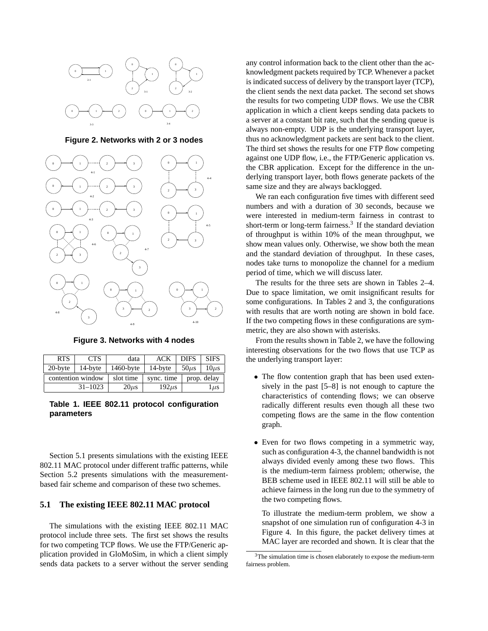

#### **Figure 2. Networks with 2 or 3 nodes**



**Figure 3. Networks with 4 nodes**

| <b>RTS</b>        | <b>CTS</b> | data         | ACK        | <b>DIFS</b> | <b>SIFS</b> |
|-------------------|------------|--------------|------------|-------------|-------------|
| $20$ -byte        | 14-byte    | $1460$ -byte | 14-byte    | $50\mu s$   | $10\mu s$   |
| contention window |            | slot time    | sync. time |             | prop. delay |
| $31 - 1023$       |            | $20\mu s$    | $192\mu s$ |             | $1 \mu s$   |

**Table 1. IEEE 802.11 protocol configuration parameters**

Section 5.1 presents simulations with the existing IEEE 802.11 MAC protocol under different traffic patterns, while Section 5.2 presents simulations with the measurementbased fair scheme and comparison of these two schemes.

#### **5.1 The existing IEEE 802.11 MAC protocol**

The simulations with the existing IEEE 802.11 MAC protocol include three sets. The first set shows the results for two competing TCP flows. We use the FTP/Generic application provided in GloMoSim, in which a client simply sends data packets to a server without the server sending any control information back to the client other than the acknowledgment packets required by TCP. Whenever a packet is indicated success of delivery by the transport layer (TCP), the client sends the next data packet. The second set shows the results for two competing UDP flows. We use the CBR application in which a client keeps sending data packets to a server at a constant bit rate, such that the sending queue is always non-empty. UDP is the underlying transport layer, thus no acknowledgment packets are sent back to the client. The third set shows the results for one FTP flow competing against one UDP flow, i.e., the FTP/Generic application vs. the CBR application. Except for the difference in the underlying transport layer, both flows generate packets of the same size and they are always backlogged.

We ran each configuration five times with different seed numbers and with a duration of 30 seconds, because we were interested in medium-term fairness in contrast to short-term or long-term fairness.<sup>3</sup> If the standard deviation of throughput is within 10% of the mean throughput, we show mean values only. Otherwise, we show both the mean and the standard deviation of throughput. In these cases, nodes take turns to monopolize the channel for a medium period of time, which we will discuss later.

The results for the three sets are shown in Tables 2–4. Due to space limitation, we omit insignificant results for some configurations. In Tables 2 and 3, the configurations with results that are worth noting are shown in bold face. If the two competing flows in these configurations are symmetric, they are also shown with asterisks.

From the results shown in Table 2, we have the following interesting observations for the two flows that use TCP as the underlying transport layer:

- The flow contention graph that has been used extensively in the past [5–8] is not enough to capture the characteristics of contending flows; we can observe radically different results even though all these two competing flows are the same in the flow contention graph.
- Even for two flows competing in a symmetric way, such as configuration 4-3, the channel bandwidth is not always divided evenly among these two flows. This is the medium-term fairness problem; otherwise, the BEB scheme used in IEEE 802.11 will still be able to achieve fairness in the long run due to the symmetry of the two competing flows.

To illustrate the medium-term problem, we show a snapshot of one simulation run of configuration 4-3 in Figure 4. In this figure, the packet delivery times at MAC layer are recorded and shown. It is clear that the

<sup>&</sup>lt;sup>3</sup>The simulation time is chosen elaborately to expose the medium-term fairness problem.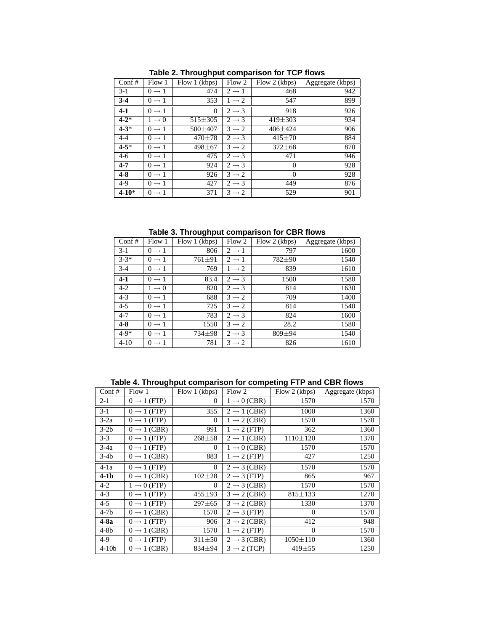|           |                   | $\tilde{\phantom{a}}$<br>. . |                   |               |                  |
|-----------|-------------------|------------------------------|-------------------|---------------|------------------|
| Conf#     | Flow 1            | Flow 1 (kbps)                | Flow 2            | Flow 2 (kbps) | Aggregate (kbps) |
| $3-1$     | $0 \rightarrow 1$ | 474                          | $2 \rightarrow 1$ | 468           | 942              |
| $3 - 4$   | $0 \rightarrow 1$ | 353                          | $1 \rightarrow 2$ | 547           | 899              |
| $4-1$     | $0 \rightarrow 1$ | $\theta$                     | $2 \rightarrow 3$ | 918           | 926              |
| $4 - 2*$  | $1 \rightarrow 0$ | $515 \pm 305$                | $2 \rightarrow 3$ | $419\pm303$   | 934              |
| $4 - 3*$  | $0 \rightarrow 1$ | $500\pm407$                  | $3 \rightarrow 2$ | $406 \pm 424$ | 906              |
| $4 - 4$   | $0 \rightarrow 1$ | $470 + 78$                   | $2 \rightarrow 3$ | $415 \pm 70$  | 884              |
| $4 - 5*$  | $0 \rightarrow 1$ | $498 \pm 67$                 | $3 \rightarrow 2$ | $372 \pm 68$  | 870              |
| $4-6$     | $0 \rightarrow 1$ | 475                          | $2 \rightarrow 3$ | 471           | 946              |
| $4 - 7$   | $0 \rightarrow 1$ | 924                          | $2 \rightarrow 3$ | $\Omega$      | 928              |
| $4 - 8$   | $0 \rightarrow 1$ | 926                          | $3 \rightarrow 2$ | $\Omega$      | 928              |
| $4-9$     | $0 \rightarrow 1$ | 427                          | $2 \rightarrow 3$ | 449           | 876              |
| $4 - 10*$ | $0 \rightarrow 1$ | 371                          | $3 \rightarrow 2$ | 529           | 901              |

**Table 2. Throughput comparison for TCP flows**

**Table 3. Throughput comparison for CBR flows**

| Conf#    | Flow 1            | Flow 1 (kbps) | Flow 2            | Flow 2 (kbps) | Aggregate (kbps) |
|----------|-------------------|---------------|-------------------|---------------|------------------|
| $3-1$    | $0 \rightarrow 1$ | 806           | $2 \rightarrow 1$ | 797           | 1600             |
| $3 - 3*$ | $0 \rightarrow 1$ | $761 + 91$    | $2 \rightarrow 1$ | 782±90        | 1540             |
| $3-4$    | $0 \rightarrow 1$ | 769           | $1 \rightarrow 2$ | 839           | 1610             |
| $4-1$    | $0 \rightarrow 1$ | 83.4          | $2 \rightarrow 3$ | 1500          | 1580             |
| $4 - 2$  | $1 \rightarrow 0$ | 820           | $2 \rightarrow 3$ | 814           | 1630             |
| $4 - 3$  | $0 \rightarrow 1$ | 688           | $3 \rightarrow 2$ | 709           | 1400             |
| $4 - 5$  | $0 \rightarrow 1$ | 725           | $3 \rightarrow 2$ | 814           | 1540             |
| $4 - 7$  | $0 \rightarrow 1$ | 783           | $2 \rightarrow 3$ | 824           | 1600             |
| $4 - 8$  | $0 \rightarrow 1$ | 1550          | $3 \rightarrow 2$ | 28.2          | 1580             |
| $4 - 9*$ | $0 \rightarrow 1$ | 734±98        | $2 \rightarrow 3$ | 809±94        | 1540             |
| $4 - 10$ | $0 \rightarrow 1$ | 781           | $3 \rightarrow 2$ | 826           | 1610             |

**Table 4. Throughput comparison for competing FTP and CBR flows**

| Conf#   | Flow 1                  | $\overline{Flow} 1$ (kbps) | Flow 2                                     | Flow 2 (kbps)  | Aggregate (kbps) |
|---------|-------------------------|----------------------------|--------------------------------------------|----------------|------------------|
| $2 - 1$ | $0 \rightarrow 1$ (FTP) | $\Omega$                   | $1 \rightarrow 0$ (CBR)                    | 1570           | 1570             |
| $3-1$   | $0 \rightarrow 1$ (FTP) | 355                        | $2 \rightarrow 1$ (CBR)                    | 1000           | 1360             |
| $3-2a$  | $0 \rightarrow 1$ (FTP) | $\bf{0}$                   | $1 \rightarrow 2$ (CBR)                    | 1570           | 1570             |
| $3-2b$  | $0 \rightarrow 1$ (CBR) | 991                        | $1 \rightarrow 2$ (FTP)                    | 362            | 1360             |
| $3 - 3$ | $0 \rightarrow 1$ (FTP) | $268 + 58$                 | $2 \rightarrow 1$ (CBR)                    | $1110 \pm 120$ | 1370             |
| $3-4a$  | $0 \rightarrow 1$ (FTP) | $\overline{0}$             | $1 \rightarrow 0$ (CBR)                    | 1570           | 1570             |
| $3-4b$  | $0 \rightarrow 1$ (CBR) | 883                        | $\overline{1} \rightarrow 2$ (FTP)         | 427            | 1250             |
| $4-1a$  | $0 \rightarrow 1$ (FTP) | $\Omega$                   | $2 \rightarrow 3$ (CBR)                    | 1570           | 1570             |
| $4-1b$  | $0 \rightarrow 1$ (CBR) | $102 \pm 28$               | $2 \rightarrow 3$ (FTP)                    | 865            | 967              |
| $4 - 2$ | $1 \rightarrow 0$ (FTP) | $\Omega$                   | $2 \rightarrow 3$ (CBR)                    | 1570           | 1570             |
| $4 - 3$ | $0 \rightarrow 1$ (FTP) | $455 \pm 93$               | $3 \rightarrow 2$ (CBR)                    | $815 \pm 133$  | 1270             |
| $4 - 5$ | $0 \rightarrow 1$ (FTP) | $297 \pm 65$               | $\overline{3} \rightarrow 2 \text{ (CBR)}$ | 1330           | 1370             |
| $4-7b$  | $0 \rightarrow 1$ (CBR) | 1570                       | $2 \rightarrow 3$ (FTP)                    | $\Omega$       | 1570             |
| $4-8a$  | $0 \rightarrow 1$ (FTP) | 906                        | $3 \rightarrow 2$ (CBR)                    | 412            | 948              |
| $4-8b$  | $0 \rightarrow 1$ (CBR) | 1570                       | $\overline{1\rightarrow 2}$ (FTP)          | $\Omega$       | 1570             |
| $4-9$   | $0 \rightarrow 1$ (FTP) | $311 \pm 50$               | $2 \rightarrow 3$ (CBR)                    | $1050 \pm 110$ | 1360             |
| $4-10b$ | $0 \rightarrow 1$ (CBR) | 834±94                     | $3 \rightarrow 2$ (TCP)                    | $419 + 55$     | 1250             |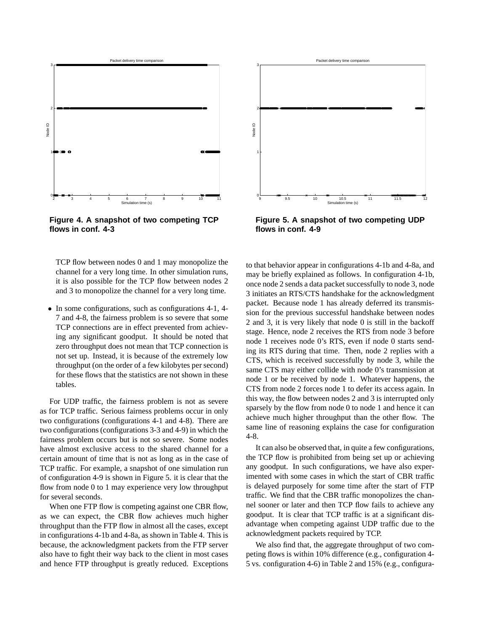

**Figure 4. A snapshot of two competing TCP flows in conf. 4-3**

TCP flow between nodes 0 and 1 may monopolize the channel for a very long time. In other simulation runs, it is also possible for the TCP flow between nodes 2 and 3 to monopolize the channel for a very long time.

• In some configurations, such as configurations 4-1, 4-7 and 4-8, the fairness problem is so severe that some TCP connections are in effect prevented from achieving any significant goodput. It should be noted that zero throughput does not mean that TCP connection is not set up. Instead, it is because of the extremely low throughput (on the order of a few kilobytes per second) for these flows that the statistics are not shown in these tables.

For UDP traffic, the fairness problem is not as severe as for TCP traffic. Serious fairness problems occur in only two configurations (configurations 4-1 and 4-8). There are two configurations (configurations 3-3 and 4-9) in which the fairness problem occurs but is not so severe. Some nodes have almost exclusive access to the shared channel for a certain amount of time that is not as long as in the case of TCP traffic. For example, a snapshot of one simulation run of configuration 4-9 is shown in Figure 5. it is clear that the flow from node 0 to 1 may experience very low throughput for several seconds.

When one FTP flow is competing against one CBR flow, as we can expect, the CBR flow achieves much higher throughput than the FTP flow in almost all the cases, except in configurations 4-1b and 4-8a, as shown in Table 4. This is because, the acknowledgment packets from the FTP server also have to fight their way back to the client in most cases and hence FTP throughput is greatly reduced. Exceptions



**Figure 5. A snapshot of two competing UDP flows in conf. 4-9**

to that behavior appear in configurations 4-1b and 4-8a, and may be briefly explained as follows. In configuration 4-1b, once node 2 sends a data packet successfully to node 3, node 3 initiates an RTS/CTS handshake for the acknowledgment packet. Because node 1 has already deferred its transmission for the previous successful handshake between nodes 2 and 3, it is very likely that node 0 is still in the backoff stage. Hence, node 2 receives the RTS from node 3 before node 1 receives node 0's RTS, even if node 0 starts sending its RTS during that time. Then, node 2 replies with a CTS, which is received successfully by node 3, while the same CTS may either collide with node 0's transmission at node 1 or be received by node 1. Whatever happens, the CTS from node 2 forces node 1 to defer its access again. In this way, the flow between nodes 2 and 3 is interrupted only sparsely by the flow from node 0 to node 1 and hence it can achieve much higher throughput than the other flow. The same line of reasoning explains the case for configuration 4-8.

It can also be observed that, in quite a few configurations, the TCP flow is prohibited from being set up or achieving any goodput. In such configurations, we have also experimented with some cases in which the start of CBR traffic is delayed purposely for some time after the start of FTP traffic. We find that the CBR traffic monopolizes the channel sooner or later and then TCP flow fails to achieve any goodput. It is clear that TCP traffic is at a significant disadvantage when competing against UDP traffic due to the acknowledgment packets required by TCP.

We also find that, the aggregate throughput of two competing flows is within 10% difference (e.g., configuration 4- 5 vs. configuration 4-6) in Table 2 and 15% (e.g., configura-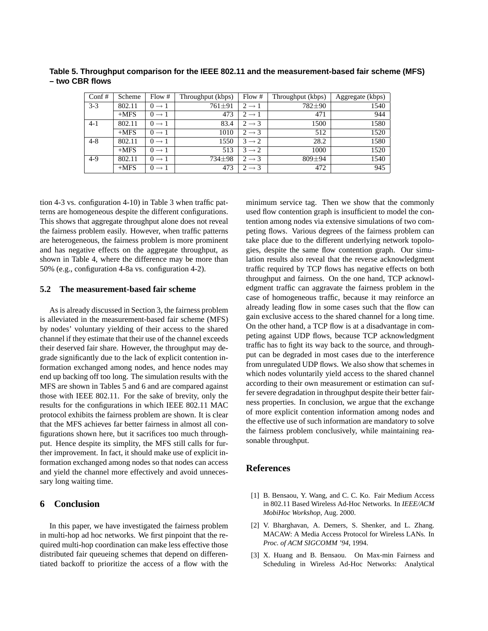| Conf#   | Scheme | Flow#             | Throughput (kbps) | Flow#             | Throughput (kbps) | Aggregate (kbps) |
|---------|--------|-------------------|-------------------|-------------------|-------------------|------------------|
| $3 - 3$ | 802.11 | $0 \rightarrow 1$ | $761 \pm 91$      | $2 \rightarrow 1$ | 782±90            | 1540             |
|         | $+MFS$ | $0 \rightarrow 1$ | 473               | $2 \rightarrow 1$ | 471               | 944              |
| $4-1$   | 802.11 | $0 \rightarrow 1$ | 83.4              | $2 \rightarrow 3$ | 1500              | 1580             |
|         | $+MFS$ | $0 \rightarrow 1$ | 1010              | $2 \rightarrow 3$ | 512               | 1520             |
| $4 - 8$ | 802.11 | $0 \rightarrow 1$ | 1550              | $3 \rightarrow 2$ | 28.2              | 1580             |
|         | $+MFS$ | $0 \rightarrow 1$ | 513               | $3 \rightarrow 2$ | 1000              | 1520             |
| $4-9$   | 802.11 | $0 \rightarrow 1$ | 734±98            | $2 \rightarrow 3$ | $809 + 94$        | 1540             |
|         | $+MFS$ | $0 \rightarrow 1$ | 473               | $2 \rightarrow 3$ | 472               | 945              |

**Table 5. Throughput comparison for the IEEE 802.11 and the measurement-based fair scheme (MFS) – two CBR flows**

tion 4-3 vs. configuration 4-10) in Table 3 when traffic patterns are homogeneous despite the different configurations. This shows that aggregate throughput alone does not reveal the fairness problem easily. However, when traffic patterns are heterogeneous, the fairness problem is more prominent and has negative effects on the aggregate throughput, as shown in Table 4, where the difference may be more than 50% (e.g., configuration 4-8a vs. configuration 4-2).

#### **5.2 The measurement-based fair scheme**

As is already discussed in Section 3, the fairness problem is alleviated in the measurement-based fair scheme (MFS) by nodes' voluntary yielding of their access to the shared channel if they estimate that their use of the channel exceeds their deserved fair share. However, the throughput may degrade significantly due to the lack of explicit contention information exchanged among nodes, and hence nodes may end up backing off too long. The simulation results with the MFS are shown in Tables 5 and 6 and are compared against those with IEEE 802.11. For the sake of brevity, only the results for the configurations in which IEEE 802.11 MAC protocol exhibits the fairness problem are shown. It is clear that the MFS achieves far better fairness in almost all configurations shown here, but it sacrifices too much throughput. Hence despite its simplity, the MFS still calls for further improvement. In fact, it should make use of explicit information exchanged among nodes so that nodes can access and yield the channel more effectively and avoid unnecessary long waiting time.

## **6 Conclusion**

In this paper, we have investigated the fairness problem in multi-hop ad hoc networks. We first pinpoint that the required multi-hop coordination can make less effective those distributed fair queueing schemes that depend on differentiated backoff to prioritize the access of a flow with the minimum service tag. Then we show that the commonly used flow contention graph is insufficient to model the contention among nodes via extensive simulations of two competing flows. Various degrees of the fairness problem can take place due to the different underlying network topologies, despite the same flow contention graph. Our simulation results also reveal that the reverse acknowledgment traffic required by TCP flows has negative effects on both throughput and fairness. On the one hand, TCP acknowledgment traffic can aggravate the fairness problem in the case of homogeneous traffic, because it may reinforce an already leading flow in some cases such that the flow can gain exclusive access to the shared channel for a long time. On the other hand, a TCP flow is at a disadvantage in competing against UDP flows, because TCP acknowledgment traffic has to fight its way back to the source, and throughput can be degraded in most cases due to the interference from unregulated UDP flows. We also show that schemes in which nodes voluntarily yield access to the shared channel according to their own measurement or estimation can suffer severe degradation in throughput despite their better fairness properties. In conclusion, we argue that the exchange of more explicit contention information among nodes and the effective use of such information are mandatory to solve the fairness problem conclusively, while maintaining reasonable throughput.

#### **References**

- [1] B. Bensaou, Y. Wang, and C. C. Ko. Fair Medium Access in 802.11 Based Wireless Ad-Hoc Networks. In *IEEE/ACM MobiHoc Workshop*, Aug. 2000.
- [2] V. Bharghavan, A. Demers, S. Shenker, and L. Zhang. MACAW: A Media Access Protocol for Wireless LANs. In *Proc. of ACM SIGCOMM '94*, 1994.
- [3] X. Huang and B. Bensaou. On Max-min Fairness and Scheduling in Wireless Ad-Hoc Networks: Analytical